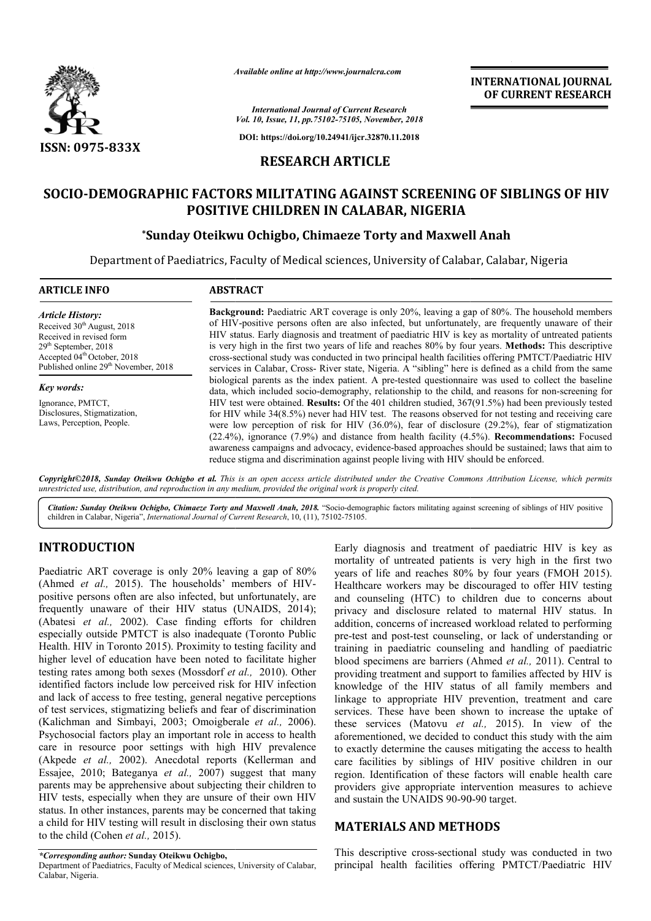

*Available online at http://www.journalcra.com*

**INTERNATIONAL JOURNAL OF CURRENT RESEARCH**

*International Journal of Current Research Vol. 10, Issue, 11, pp.75102-75105, November, 2018*

**DOI: https://doi.org/10.24941/ijcr.32870.11.2018**

# **RESEARCH ARTICLE**

# SOCIO-DEMOGRAPHIC FACTORS MILITATING AGAINST SCREENING OF SIBLINGS OF HIV<br>POSITIVE CHILDREN IN CALABAR, NIGERIA<br>Sunday Oteikwu Ochigbo, Chimaeze Torty and Maxwell Anah\* **POSITIVE CHILDREN IN CALABAR, NIGERIA**

# **\*Sunday Oteikwu Ochigbo, Chimaeze Torty and Maxwell Anah**

Department of Paediatrics, Faculty of Medical sciences, University of Calabar, Calabar, Nigeria

| <b>ARTICLE INFO</b>                                                                                                                                                                                                    | <b>ABSTRACT</b>                                                                                                                                                                                                                                                                                                                                                                                                                                                                                                                                                                                                                                      |  |  |
|------------------------------------------------------------------------------------------------------------------------------------------------------------------------------------------------------------------------|------------------------------------------------------------------------------------------------------------------------------------------------------------------------------------------------------------------------------------------------------------------------------------------------------------------------------------------------------------------------------------------------------------------------------------------------------------------------------------------------------------------------------------------------------------------------------------------------------------------------------------------------------|--|--|
| <b>Article History:</b><br>Received 30 <sup>th</sup> August, 2018<br>Received in revised form<br>$29th$ September, 2018<br>Accepted 04 <sup>th</sup> October, 2018<br>Published online 29 <sup>th</sup> November, 2018 | <b>Background:</b> Paediatric ART coverage is only 20%, leaving a gap of 80%. The household members<br>of HIV-positive persons often are also infected, but unfortunately, are frequently unaware of their<br>HIV status. Early diagnosis and treatment of paediatric HIV is key as mortality of untreated patients<br>is very high in the first two years of life and reaches 80% by four years. <b>Methods:</b> This descriptive<br>cross-sectional study was conducted in two principal health facilities offering PMTCT/Paediatric HIV<br>services in Calabar, Cross- River state, Nigeria. A "sibling" here is defined as a child from the same |  |  |
| <b>Key words:</b>                                                                                                                                                                                                      | biological parents as the index patient. A pre-tested questionnaire was used to collect the baseline<br>data, which included socio-demography, relationship to the child, and reasons for non-screening for                                                                                                                                                                                                                                                                                                                                                                                                                                          |  |  |
| Ignorance, PMTCT,<br>Disclosures, Stigmatization,<br>Laws, Perception, People.                                                                                                                                         | HIV test were obtained. <b>Results:</b> Of the 401 children studied, $367(91.5%)$ had been previously tested<br>for HIV while 34(8.5%) never had HIV test. The reasons observed for not testing and receiving care<br>were low perception of risk for HIV $(36.0\%)$ , fear of disclosure $(29.2\%)$ , fear of stigmatization<br>$(22.4\%)$ , ignorance $(7.9\%)$ and distance from health facility $(4.5\%)$ . <b>Recommendations:</b> Focused<br>awareness campaigns and advocacy, evidence-based approaches should be sustained; laws that aim to<br>reduce stigma and discrimination against people living with HIV should be enforced.          |  |  |
|                                                                                                                                                                                                                        |                                                                                                                                                                                                                                                                                                                                                                                                                                                                                                                                                                                                                                                      |  |  |

Copyright©2018, Sunday Oteikwu Ochigbo et al. This is an open access article distributed under the Creative Commons Attribution License, which permits unrestricted use, distribution, and reproduction in any medium, provided the original work is properly cited.

Citation: Sunday Oteikwu Ochigbo, Chimaeze Torty and Maxwell Anah, 2018. "Socio-demographic factors militating against screening of siblings of HIV positive children in Calabar, Nigeria", *International Journal of Current Research* , 10, (11), 75102-75105.

## **INTRODUCTION**

Paediatric ART coverage is only 20% leaving a gap of 80% (Ahmed *et al.*, 2015). The households' members of HIVpositive persons often are also infected, but unfortunately, are frequently unaware of their HIV status (UNAIDS, 2014); (Abatesi *et al.,* 2002). Case finding efforts for children especially outside PMTCT is also inadequate (Toronto Public Health. HIV in Toronto 2015). Proximity to testing facility and higher level of education have been noted to facilitate higher testing rates among both sexes (Mossdorf *et al.,*  2010). Other identified factors include low perceived risk for HIV infection and lack of access to free testing, general negative perceptions of test services, stigmatizing beliefs and fear of discrimination (Kalichman and Simbayi, 2003; Omoigberale et al., 2006). Psychosocial factors play an important role in access to health care in resource poor settings with high HIV prevalence (Akpede *et al.,* 2002). Anecdotal reports (Kellerman and Essajee, 2010; Bateganya *et al.,* 2007) suggest that many parents may be apprehensive about subjecting their children to HIV tests, especially when they are unsure of their own HIV status. In other instances, parents may be concerned that taking a child for HIV testing will result in disclosing their own status to the child (Cohen *et al.,* 2015).

## **MATERIALS AND METHODS METHODS**

*\*Corresponding author:* **Sunday Oteikwu Ochigbo,** 

Department of Paediatrics, Faculty of Medical sciences, University of Calabar, Calabar, Nigeria.

This descriptive cross-sectional study was conducted in two principal health facilities offering PMTCT/Paediatric HIV

Early diagnosis and treatment of paediatric<br>
eaving a gap of 80% weras of Hire versions is very high<br>
in the version of HIV-<br>
in the version of HIV-<br>
Healthcare workers may be discouraged to<br>
but unfortunately, are<br>
and c mortality of untreated patients is very high in the first two years of life and reaches 80% by four years (FMOH 2015). Healthcare workers may be discouraged to offer HIV testing and counseling (HTC) to children due to concerns about privacy and disclosure related to maternal HIV status. In addition, concerns of increased workload related to performing pre-test and post-test counseling, or lack of understanding or training in paediatric counseling and handling of paediatric blood specimens are barriers (Ahmed *et al.,* 2011). Central to providing treatment and support to families affected by HIV is knowledge of the HIV status of all family members and linkage to appropriate HIV prevention, treatment and care services. These have been shown to increase the uptake of these services (Matovu *et al.,*  2015). In view of the aforementioned, we decided to conduct this study with the aim to exactly determine the causes mitigating the access to health aforementioned, we decided to conduct this study with the aim<br>to exactly determine the causes mitigating the access to health<br>care facilities by siblings of HIV positive children in our region. Identification of these factors will enable health care providers give appropriate intervention measures to achieve and sustain the UNAIDS 90-90-90 target. Early diagnosis and treatment of paediatric HIV is key as mortality of untreated patients is very high in the first two<br>years of life and reaches 80% by four years (FMOH 2015).<br>Healthcare workers may be discouraged to offer HIV testing<br>and counseling (HTC) to children due to conc treatment and support to families affected by HIV is<br>e of the HIV status of all family members and<br>o appropriate HIV prevention, treatment and care<br>These have been shown to increase the uptake of region. Identification of these factors will enable health providers give appropriate intervention measures to ach<br>and sustain the UNAIDS 90-90-90 target. INTERNATIONAL JOURNAL<br>
FOREXANTIONAL JOURNAL<br>
FOR RESERVENCE OF THE SERVE ARCHIVES CONDUCT TRANSITY SCREEN IN S. November, 2018<br>
2. ASS/20.11.2018<br>
THE CARR ANIGE RIA CONDUCT TRANSITY SCREENING OF SIBLINGS OF HIV<br>
LABAR,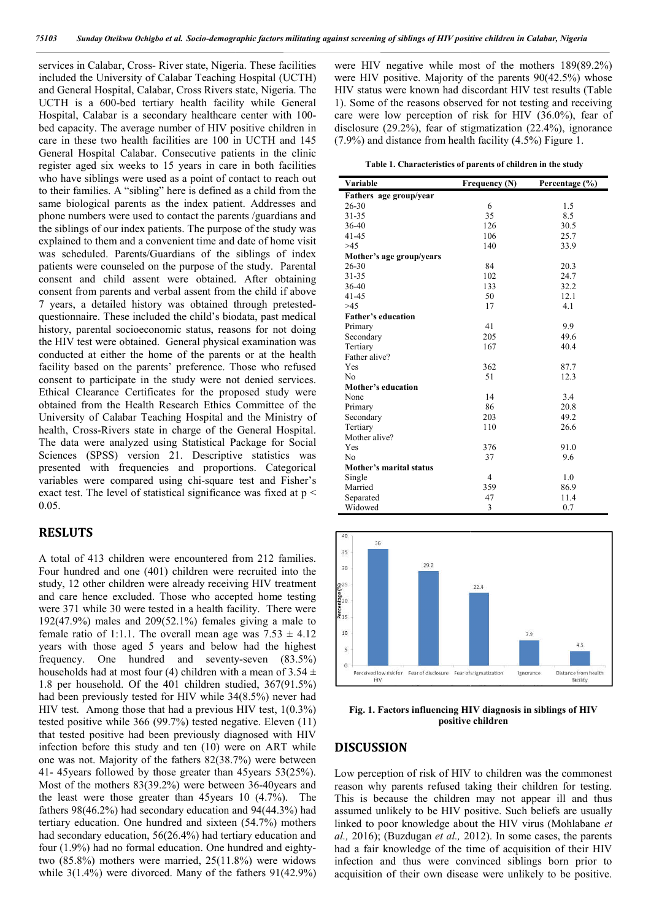services in Calabar, Cross- River state, Nigeria. These facilities included the University of Calabar Teaching Hospital (UCTH) and General Hospital, Calabar, Cross Rivers state, Nigeria. The UCTH is a 600-bed tertiary health facility while General UCTH is a 600-bed tertiary health facility while General<br>Hospital, Calabar is a secondary healthcare center with 100bed capacity. The average number of HIV positive children in care in these two health facilities are 100 in UCTH and 145 General Hospital Calabar. Consecutive patients in the clinic register aged six weeks to 15 years in care in both facilities who have siblings were used as a point of contact to reach out to their families. A "sibling" here is defined as a child from the same biological parents as the index patient. Addresses and phone numbers were used to contact the parents /guardians and the siblings of our index patients. The purpose of the study was explained to them and a convenient time and date of home visit was scheduled. Parents/Guardians of the siblings of index patients were counseled on the purpose of the study. Parental consent and child assent were obtained. After obtaining consent from parents and verbal assent from the child if above 7 years, a detailed history was obtained through prete questionnaire. These included the child's biodata, past medical history, parental socioeconomic status, reasons for not doing the HIV test were obtained. General physical examination was conducted at either the home of the parents or at the health facility based on the parents' preference. Those who refused consent to participate in the study were not denied services. Ethical Clearance Certificates for the proposed study were obtained from the Health Research Ethics Committee of the University of Calabar Teaching Hospital and the Ministry of health, Cross-Rivers state in charge of the General Hospital. The data were analyzed using Statistical Package for Social Sciences (SPSS) version 21. Descriptive statistics was presented with frequencies and proportions. Categorical variables were compared using chi-square test and Fisher's exact test. The level of statistical significance was fixed at p < 0.05. ecutive patients in the clinic<br>ears in care in both facilities<br>a point of contact to reach out<br>is defined as a child from the<br>index patient. Addresses and<br>tact the parents/guardians and<br>The purpose of the study was<br>nnt tim cility based on the parents' preference. Those<br>onsent to participate in the study were not den<br>thical Clearance Certificates for the proposed<br>otained from the Health Research Ethics Com<br>niversity of Calabar Teaching Hospit

#### **RESLUTS**

A total of 413 children were encountered from 212 families. Four hundred and one (401) children were recruited into the study, 12 other children were already receiving HIV treatment and care hence excluded. Those who accepted home testing were 371 while 30 were tested in a health facility. There were 192(47.9%) males and 209(52.1%) females giving a male to female ratio of 1:1.1. The overall mean age was  $7.53 \pm 4.12$ years with those aged 5 years and below had the highest frequency. One hundred and seventy-seven (83.5%) households had at most four (4) children with a mean of  $3.54 \pm$ 1.8 per household. Of the 401 children studied, 367(91.5%) had been previously tested for HIV while 34(8.5%) never had HIV test. Among those that had a previous HIV test, 1(0.3%) tested positive while 366 (99.7%) tested negative. Eleven (11) that tested positive had been previously diagnosed with HIV infection before this study and ten (10) were on ART while one was not. Majority of the fathers 82(38.7%) were between 41- 45years followed by those greater than 45years 53(25%). Most of the mothers 83(39.2%) were between 36-40 years and the least were those greater than 45years 10 (4.7%). The fathers 98(46.2%) had secondary education and 94(44.3%) had tertiary education. One hundred and sixteen (54.7%) mothers had secondary education, 56(26.4%) had tertiary education and four  $(1.9%)$  had no formal education. One hundred and eightytwo (85.8%) mothers were married, 25(11.8%) were widows while 3(1.4%) were divorced. Many of the fathers 91(42.9%) eviously diagnosed with HIV<br>ten (10) were on ART while<br>hers 82(38.7%) were between<br>greater than 45years 53(25%).<br>were between 36-40years and

|  | Table 1. Characteristics of parents of children in the study |  |  |  |
|--|--------------------------------------------------------------|--|--|--|
|--|--------------------------------------------------------------|--|--|--|

| isclosure (29.2%), fear of stigmatization (22.4%), ignorance<br>7.9%) and distance from health facility (4.5%) Figure 1.<br>Table 1. Characteristics of parents of children in the study<br>Variable | Frequency (N)     | Percentage (%)                    |  |  |
|------------------------------------------------------------------------------------------------------------------------------------------------------------------------------------------------------|-------------------|-----------------------------------|--|--|
| Fathers age group/year<br>26-30                                                                                                                                                                      | 6                 | 1.5                               |  |  |
| 31-35                                                                                                                                                                                                | 35                | 8.5                               |  |  |
| 36-40                                                                                                                                                                                                | 126               | 30.5                              |  |  |
| 41-45                                                                                                                                                                                                | 106               | 25.7                              |  |  |
| >45                                                                                                                                                                                                  | 140               | 33.9                              |  |  |
| Mother's age group/years<br>26-30                                                                                                                                                                    | 84                | 20.3                              |  |  |
| 31-35                                                                                                                                                                                                | 102               | 24.7                              |  |  |
| 36-40                                                                                                                                                                                                | 133               | 32.2                              |  |  |
| 41-45                                                                                                                                                                                                | 50                | 12.1                              |  |  |
| >45<br><b>Father's education</b>                                                                                                                                                                     | 17                | 4.1                               |  |  |
| Primary                                                                                                                                                                                              | 41                | 9.9                               |  |  |
| Secondary                                                                                                                                                                                            | 205               | 49.6                              |  |  |
| Tertiary                                                                                                                                                                                             | 167               | 40.4                              |  |  |
| Father alive?<br>Yes                                                                                                                                                                                 | 362               | 87.7                              |  |  |
| No                                                                                                                                                                                                   | 51                | 12.3                              |  |  |
| Mother's education                                                                                                                                                                                   |                   |                                   |  |  |
| None                                                                                                                                                                                                 | 14                | 3.4                               |  |  |
| Primary<br>Secondary                                                                                                                                                                                 | 86<br>203         | 20.8<br>49.2                      |  |  |
| Tertiary                                                                                                                                                                                             | 110               | 26.6                              |  |  |
| Mother alive?                                                                                                                                                                                        |                   |                                   |  |  |
| Yes                                                                                                                                                                                                  | 376               | 91.0                              |  |  |
| No<br>Mother's marital status                                                                                                                                                                        | 37                | 9.6                               |  |  |
| Single                                                                                                                                                                                               | 4                 | 1.0                               |  |  |
| Married                                                                                                                                                                                              | 359               | 86.9                              |  |  |
| Separated<br>Widowed                                                                                                                                                                                 | 47<br>3           | 11.4<br>0.7                       |  |  |
|                                                                                                                                                                                                      |                   |                                   |  |  |
|                                                                                                                                                                                                      |                   |                                   |  |  |
| 40<br>36                                                                                                                                                                                             |                   |                                   |  |  |
| 35                                                                                                                                                                                                   |                   |                                   |  |  |
| 29.2<br>30                                                                                                                                                                                           |                   |                                   |  |  |
| 25                                                                                                                                                                                                   | 22.4              |                                   |  |  |
|                                                                                                                                                                                                      |                   |                                   |  |  |
| 20                                                                                                                                                                                                   |                   |                                   |  |  |
| 15                                                                                                                                                                                                   |                   |                                   |  |  |
| 10                                                                                                                                                                                                   |                   | 7.9                               |  |  |
| 5                                                                                                                                                                                                    |                   | 4.5                               |  |  |
|                                                                                                                                                                                                      |                   |                                   |  |  |
| 0<br>Perceived low risk for Fear of disclosure Fear of stigmatization                                                                                                                                |                   | Distance from health<br>Ignorance |  |  |
| <b>HIV</b>                                                                                                                                                                                           |                   | facility                          |  |  |
|                                                                                                                                                                                                      |                   |                                   |  |  |
| Fig. 1. Factors influencing HIV diagnosis in siblings of HIV                                                                                                                                         |                   |                                   |  |  |
|                                                                                                                                                                                                      | positive children |                                   |  |  |
|                                                                                                                                                                                                      |                   |                                   |  |  |
| <b>DISCUSSION</b>                                                                                                                                                                                    |                   |                                   |  |  |
|                                                                                                                                                                                                      |                   |                                   |  |  |
| ow perception of risk of HIV to children was the commones                                                                                                                                            |                   |                                   |  |  |
| eason why parents refused taking their children for testing                                                                                                                                          |                   |                                   |  |  |
|                                                                                                                                                                                                      |                   |                                   |  |  |
|                                                                                                                                                                                                      |                   |                                   |  |  |
|                                                                                                                                                                                                      |                   |                                   |  |  |
|                                                                                                                                                                                                      |                   |                                   |  |  |
| his is because the children may not appear ill and thus<br>ssumed unlikely to be HIV positive. Such beliefs are usually<br>nked to poor knowledge about the HIV virus (Mohlabane e                   |                   |                                   |  |  |
|                                                                                                                                                                                                      |                   |                                   |  |  |
| l., 2016); (Buzdugan et al., 2012). In some cases, the parents<br>ad a fair knowledge of the time of acquisition of their HIV                                                                        |                   |                                   |  |  |
| ifection and thus were convinced siblings born prior to<br>equisition of their own disease were unlikely to be positive                                                                              |                   |                                   |  |  |



**Fig. 1. Factors influencing HIV Fig. 1. Factors influencing diagnosis in siblings of HIV positive children**

#### **DISCUSSION**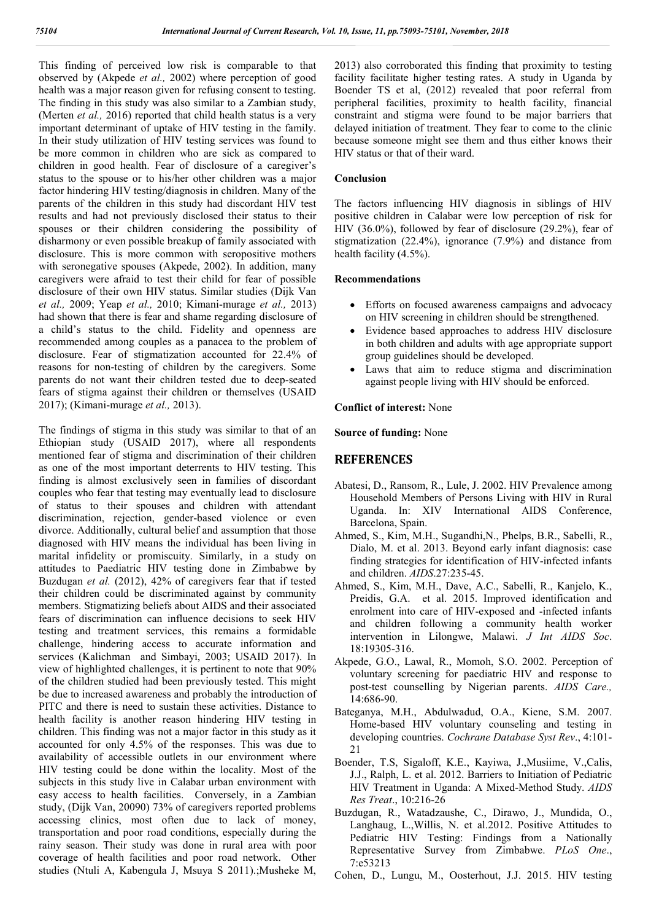This finding of perceived low risk is comparable to that observed by (Akpede *et al.,* 2002) where perception of good health was a major reason given for refusing consent to testing. The finding in this study was also similar to a Zambian study, (Merten *et al.,* 2016) reported that child health status is a very important determinant of uptake of HIV testing in the family. In their study utilization of HIV testing services was found to be more common in children who are sick as compared to children in good health. Fear of disclosure of a caregiver's status to the spouse or to his/her other children was a major factor hindering HIV testing/diagnosis in children. Many of the parents of the children in this study had discordant HIV test results and had not previously disclosed their status to their spouses or their children considering the possibility of disharmony or even possible breakup of family associated with disclosure. This is more common with seropositive mothers with seronegative spouses (Akpede, 2002). In addition, many caregivers were afraid to test their child for fear of possible disclosure of their own HIV status. Similar studies (Dijk Van *et al.,* 2009; Yeap *et al.,* 2010; Kimani-murage *et al.,* 2013) had shown that there is fear and shame regarding disclosure of a child's status to the child. Fidelity and openness are recommended among couples as a panacea to the problem of disclosure. Fear of stigmatization accounted for 22.4% of reasons for non-testing of children by the caregivers. Some parents do not want their children tested due to deep-seated fears of stigma against their children or themselves (USAID 2017); (Kimani-murage *et al.,* 2013).

The findings of stigma in this study was similar to that of an Ethiopian study (USAID 2017), where all respondents mentioned fear of stigma and discrimination of their children as one of the most important deterrents to HIV testing. This finding is almost exclusively seen in families of discordant couples who fear that testing may eventually lead to disclosure of status to their spouses and children with attendant discrimination, rejection, gender-based violence or even divorce. Additionally, cultural belief and assumption that those diagnosed with HIV means the individual has been living in marital infidelity or promiscuity. Similarly, in a study on attitudes to Paediatric HIV testing done in Zimbabwe by Buzdugan *et al.* (2012), 42% of caregivers fear that if tested their children could be discriminated against by community members. Stigmatizing beliefs about AIDS and their associated fears of discrimination can influence decisions to seek HIV testing and treatment services, this remains a formidable challenge, hindering access to accurate information and services (Kalichman and Simbayi, 2003; USAID 2017). In view of highlighted challenges, it is pertinent to note that 90% of the children studied had been previously tested. This might be due to increased awareness and probably the introduction of PITC and there is need to sustain these activities. Distance to health facility is another reason hindering HIV testing in children. This finding was not a major factor in this study as it accounted for only 4.5% of the responses. This was due to availability of accessible outlets in our environment where HIV testing could be done within the locality. Most of the subjects in this study live in Calabar urban environment with easy access to health facilities. Conversely, in a Zambian study, (Dijk Van, 20090) 73% of caregivers reported problems accessing clinics, most often due to lack of money, transportation and poor road conditions, especially during the rainy season. Their study was done in rural area with poor coverage of health facilities and poor road network. Other studies (Ntuli A, Kabengula J, Msuya S 2011).;Musheke M,

2013) also corroborated this finding that proximity to testing facility facilitate higher testing rates. A study in Uganda by Boender TS et al, (2012) revealed that poor referral from peripheral facilities, proximity to health facility, financial constraint and stigma were found to be major barriers that delayed initiation of treatment. They fear to come to the clinic because someone might see them and thus either knows their HIV status or that of their ward.

### **Conclusion**

The factors influencing HIV diagnosis in siblings of HIV positive children in Calabar were low perception of risk for HIV (36.0%), followed by fear of disclosure (29.2%), fear of stigmatization (22.4%), ignorance (7.9%) and distance from health facility  $(4.5\%)$ .

#### **Recommendations**

- Efforts on focused awareness campaigns and advocacy on HIV screening in children should be strengthened.
- Evidence based approaches to address HIV disclosure in both children and adults with age appropriate support group guidelines should be developed.
- Laws that aim to reduce stigma and discrimination against people living with HIV should be enforced.

#### **Conflict of interest:** None

#### **Source of funding:** None

## **REFERENCES**

- Abatesi, D., Ransom, R., Lule, J. 2002. HIV Prevalence among Household Members of Persons Living with HIV in Rural Uganda. In: XIV International AIDS Conference, Barcelona, Spain.
- Ahmed, S., Kim, M.H., Sugandhi,N., Phelps, B.R., Sabelli, R., Dialo, M. et al. 2013. Beyond early infant diagnosis: case finding strategies for identification of HIV-infected infants and children. *AIDS*.27:235-45.
- Ahmed, S., Kim, M.H., Dave, A.C., Sabelli, R., Kanjelo, K., Preidis, G.A. et al. 2015. Improved identification and enrolment into care of HIV-exposed and -infected infants and children following a community health worker intervention in Lilongwe, Malawi. *J Int AIDS Soc*. 18:19305-316.
- Akpede, G.O., Lawal, R., Momoh, S.O. 2002. Perception of voluntary screening for paediatric HIV and response to post-test counselling by Nigerian parents. *AIDS Care.,*  14:686-90.
- Bateganya, M.H., Abdulwadud, O.A., Kiene, S.M. 2007. Home-based HIV voluntary counseling and testing in developing countries. *Cochrane Database Syst Rev*., 4:101- 21
- Boender, T.S, Sigaloff, K.E., Kayiwa, J.,Musiime, V.,Calis, J.J., Ralph, L. et al. 2012. Barriers to Initiation of Pediatric HIV Treatment in Uganda: A Mixed-Method Study. *AIDS Res Treat*., 10:216-26
- Buzdugan, R., Watadzaushe, C., Dirawo, J., Mundida, O., Langhaug, L.,Willis, N. et al.2012. Positive Attitudes to Pediatric HIV Testing: Findings from a Nationally Representative Survey from Zimbabwe. *PLoS One*., 7:e53213
- Cohen, D., Lungu, M., Oosterhout, J.J. 2015. HIV testing